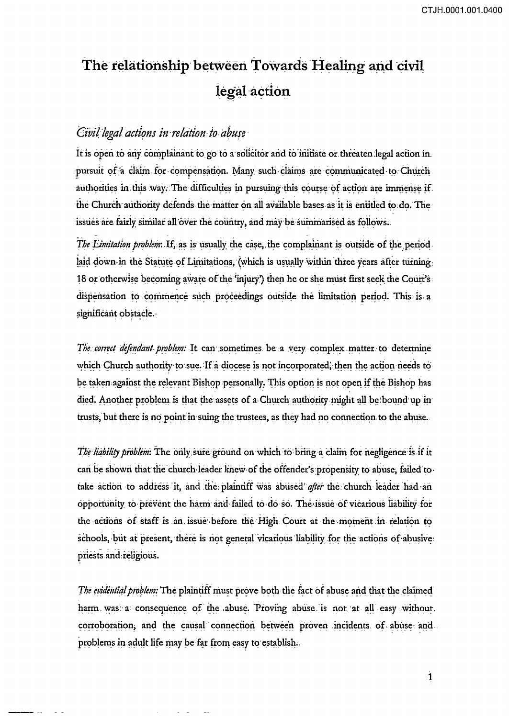## The relationship between Towards Healing and civil legal action

## Civil legal actions in relation to abuse

It is open to any complainant to go to a solicitor and to initiate or threaten legal action in. pursuit of a claim for compensation. Many such claims are communicated to Church authorities in this way. The difficulties in pursuing this course of action are immense if the Church authority defends the matter on all available bases as it is entitled to do. The issues are fairly similar all over the country, and may be summarised as follows.

The Limitation problem. If, as is usually the case, the complainant is outside of the period laid down in the Statute of Limitations, (which is usually within three years after turning. 18 or otherwise becoming aware of the 'injury') then he or she must first seek the Court's dispensation to commence such proceedings outside the limitation period. This is a significant obstacle.-

The correct defendant problem: It can sometimes be a very complex matter to determine which Church authority to sue. If a diocese is not incorporated, then the action needs to be taken against the relevant Bishop personally. This option is not open if the Bishop has died. Another problem is that the assets of a Church authority might all be bound up in trusts, but there is no point in suing the trustees, as they had no connection to the abuse.

The liability problem: The only sure ground on which to bring a claim for negligence is if it can be shown that the church leader knew of the offender's propensity to abuse, failed to take action to address it, and the plaintiff was abused after the church leader had an opportunity to prevent the harm and failed to do so. The issue of vicarious liability for the actions of staff is an issue before the High Court at the moment in relation to schools, but at present, there is not general vicarious liability for the actions of abusive: priests and religious.

The evidential problem: The plaintiff must prove both the fact of abuse and that the claimed harm was a consequence of the abuse. Proving abuse is not at all easy without. corroboration, and the causal connection between proven incidents of abuse and problems in adult life may be far from easy to establish.